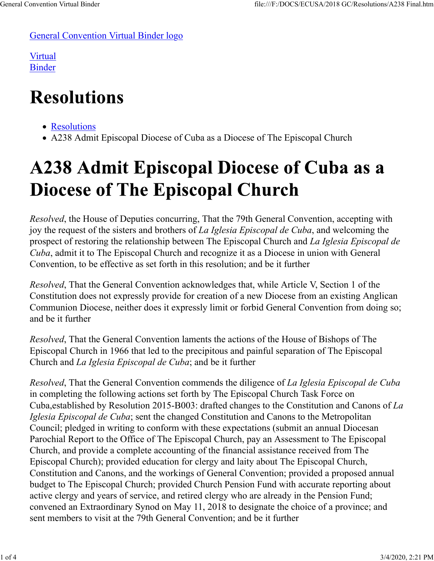General Convention Virtual Binder logo

Virtual Binder

## **Resolutions**

- Resolutions
- A238 Admit Episcopal Diocese of Cuba as a Diocese of The Episcopal Church

## A238 Admit Episcopal Diocese of Cuba as a **Diocese of The Episcopal Church**

*Resolved*, the House of Deputies concurring, That the 79th General Convention, accepting with joy the request of the sisters and brothers of *La Iglesia Episcopal de Cuba*, and welcoming the prospect of restoring the relationship between The Episcopal Church and *La Iglesia Episcopal de Cuba*, admit it to The Episcopal Church and recognize it as a Diocese in union with General Convention, to be effective as set forth in this resolution; and be it further

*Resolved*, That the General Convention acknowledges that, while Article V, Section 1 of the Constitution does not expressly provide for creation of a new Diocese from an existing Anglican Communion Diocese, neither does it expressly limit or forbid General Convention from doing so; and be it further

*Resolved*, That the General Convention laments the actions of the House of Bishops of The Episcopal Church in 1966 that led to the precipitous and painful separation of The Episcopal Church and *La Iglesia Episcopal de Cuba*; and be it further

*Resolved*, That the General Convention commends the diligence of *La Iglesia Episcopal de Cuba* in completing the following actions set forth by The Episcopal Church Task Force on Cuba,established by Resolution 2015-B003: drafted changes to the Constitution and Canons of *La Iglesia Episcopal de Cuba*; sent the changed Constitution and Canons to the Metropolitan Council; pledged in writing to conform with these expectations (submit an annual Diocesan Parochial Report to the Office of The Episcopal Church, pay an Assessment to The Episcopal Church, and provide a complete accounting of the financial assistance received from The Episcopal Church); provided education for clergy and laity about The Episcopal Church, Constitution and Canons, and the workings of General Convention; provided a proposed annual budget to The Episcopal Church; provided Church Pension Fund with accurate reporting about active clergy and years of service, and retired clergy who are already in the Pension Fund; convened an Extraordinary Synod on May 11, 2018 to designate the choice of a province; and sent members to visit at the 79th General Convention; and be it further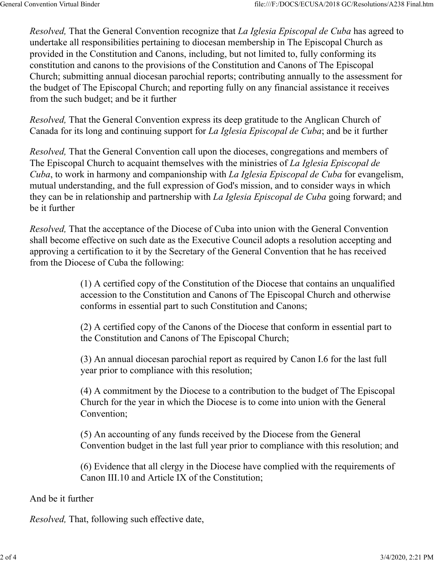*Resolved,* That the General Convention recognize that *La Iglesia Episcopal de Cuba* has agreed to undertake all responsibilities pertaining to diocesan membership in The Episcopal Church as provided in the Constitution and Canons, including, but not limited to, fully conforming its constitution and canons to the provisions of the Constitution and Canons of The Episcopal Church; submitting annual diocesan parochial reports; contributing annually to the assessment for the budget of The Episcopal Church; and reporting fully on any financial assistance it receives from the such budget; and be it further

*Resolved,* That the General Convention express its deep gratitude to the Anglican Church of Canada for its long and continuing support for *La Iglesia Episcopal de Cuba*; and be it further

*Resolved,* That the General Convention call upon the dioceses, congregations and members of The Episcopal Church to acquaint themselves with the ministries of *La Iglesia Episcopal de Cuba*, to work in harmony and companionship with *La Iglesia Episcopal de Cuba* for evangelism, mutual understanding, and the full expression of God's mission, and to consider ways in which they can be in relationship and partnership with *La Iglesia Episcopal de Cuba* going forward; and be it further

*Resolved,* That the acceptance of the Diocese of Cuba into union with the General Convention shall become effective on such date as the Executive Council adopts a resolution accepting and approving a certification to it by the Secretary of the General Convention that he has received from the Diocese of Cuba the following:

> (1) A certified copy of the Constitution of the Diocese that contains an unqualified accession to the Constitution and Canons of The Episcopal Church and otherwise conforms in essential part to such Constitution and Canons;

> (2) A certified copy of the Canons of the Diocese that conform in essential part to the Constitution and Canons of The Episcopal Church;

(3) An annual diocesan parochial report as required by Canon I.6 for the last full year prior to compliance with this resolution;

(4) A commitment by the Diocese to a contribution to the budget of The Episcopal Church for the year in which the Diocese is to come into union with the General Convention;

(5) An accounting of any funds received by the Diocese from the General Convention budget in the last full year prior to compliance with this resolution; and

(6) Evidence that all clergy in the Diocese have complied with the requirements of Canon III.10 and Article IX of the Constitution;

And be it further

*Resolved,* That, following such effective date,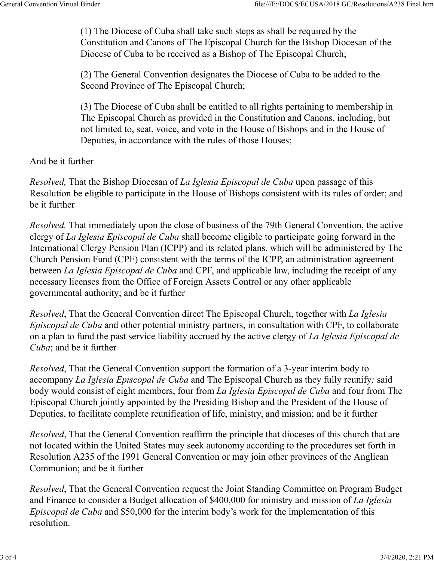(1) The Diocese of Cuba shall take such steps as shall be required by the Constitution and Canons of The Episcopal Church for the Bishop Diocesan of the Diocese of Cuba to be received as a Bishop of The Episcopal Church;

(2) The General Convention designates the Diocese of Cuba to be added to the Second Province of The Episcopal Church;

(3) The Diocese of Cuba shall be entitled to all rights pertaining to membership in The Episcopal Church as provided in the Constitution and Canons, including, but not limited to, seat, voice, and vote in the House of Bishops and in the House of Deputies, in accordance with the rules of those Houses;

And be it further

*Resolved,* That the Bishop Diocesan of *La Iglesia Episcopal de Cuba* upon passage of this Resolution be eligible to participate in the House of Bishops consistent with its rules of order; and be it further

*Resolved,* That immediately upon the close of business of the 79th General Convention, the active clergy of *La Iglesia Episcopal de Cuba* shall become eligible to participate going forward in the International Clergy Pension Plan (ICPP) and its related plans, which will be administered by The Church Pension Fund (CPF) consistent with the terms of the ICPP, an administration agreement between *La Iglesia Episcopal de Cuba* and CPF, and applicable law, including the receipt of any necessary licenses from the Office of Foreign Assets Control or any other applicable governmental authority; and be it further

*Resolved*, That the General Convention direct The Episcopal Church, together with *La Iglesia Episcopal de Cuba* and other potential ministry partners, in consultation with CPF, to collaborate on a plan to fund the past service liability accrued by the active clergy of *La Iglesia Episcopal de Cuba*; and be it further

*Resolved*, That the General Convention support the formation of a 3-year interim body to accompany *La Iglesia Episcopal de Cuba* and The Episcopal Church as they fully reunify*;* said body would consist of eight members, four from *La Iglesia Episcopal de Cuba* and four from The Episcopal Church jointly appointed by the Presiding Bishop and the President of the House of Deputies, to facilitate complete reunification of life, ministry, and mission; and be it further

*Resolved*, That the General Convention reaffirm the principle that dioceses of this church that are not located within the United States may seek autonomy according to the procedures set forth in Resolution A235 of the 1991 General Convention or may join other provinces of the Anglican Communion; and be it further

*Resolved*, That the General Convention request the Joint Standing Committee on Program Budget and Finance to consider a Budget allocation of \$400,000 for ministry and mission of *La Iglesia Episcopal de Cuba* and \$50,000 for the interim body's work for the implementation of this resolution.